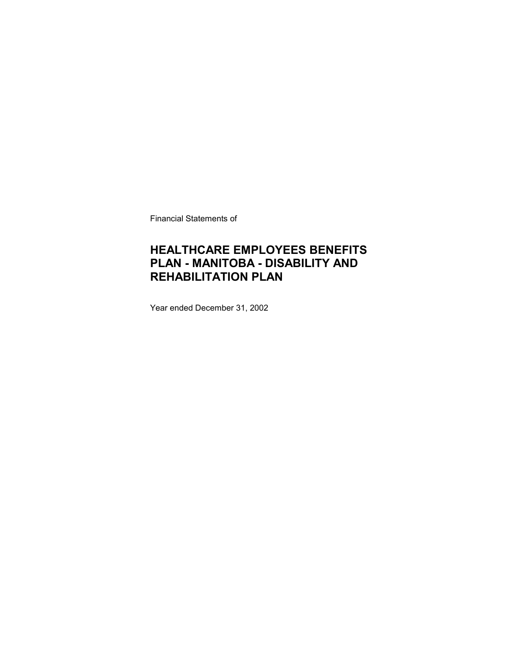Financial Statements of

### **HEALTHCARE EMPLOYEES BENEFITS PLAN - MANITOBA - DISABILITY AND REHABILITATION PLAN**

Year ended December 31, 2002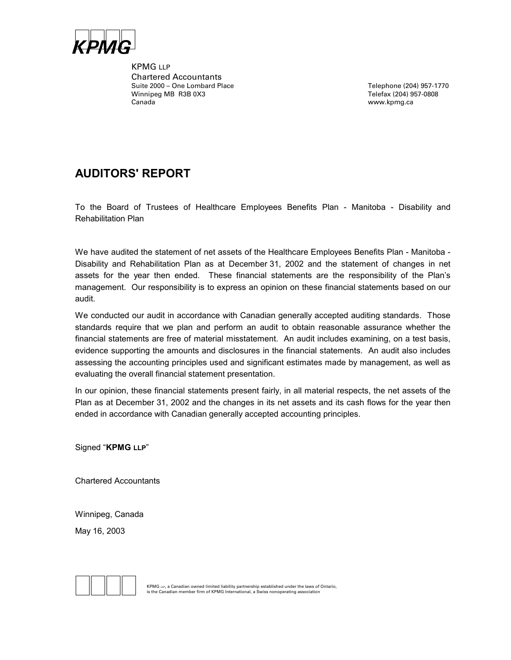

KPMG LLP Chartered Accountants Suite 2000 – One Lombard Place Telephone (204) 957-1770 Winnipeg MB R3B 0X3 Telefax (204) 957-0808 Canada www.kpmg.ca

### **AUDITORS' REPORT**

To the Board of Trustees of Healthcare Employees Benefits Plan - Manitoba - Disability and Rehabilitation Plan

We have audited the statement of net assets of the Healthcare Employees Benefits Plan - Manitoba - Disability and Rehabilitation Plan as at December 31, 2002 and the statement of changes in net assets for the year then ended. These financial statements are the responsibility of the Plan's management. Our responsibility is to express an opinion on these financial statements based on our audit.

We conducted our audit in accordance with Canadian generally accepted auditing standards. Those standards require that we plan and perform an audit to obtain reasonable assurance whether the financial statements are free of material misstatement. An audit includes examining, on a test basis, evidence supporting the amounts and disclosures in the financial statements. An audit also includes assessing the accounting principles used and significant estimates made by management, as well as evaluating the overall financial statement presentation.

In our opinion, these financial statements present fairly, in all material respects, the net assets of the Plan as at December 31, 2002 and the changes in its net assets and its cash flows for the year then ended in accordance with Canadian generally accepted accounting principles.

Signed "**KPMG LLP**"

Chartered Accountants

Winnipeg, Canada May 16, 2003



**EXPING LLP, a Canadian owned limited liability partnership established under the laws of Ontario,**<br>is the Canadian member firm of KPMG International, a Swiss nonoperating association<br>**is the Canadian member firm of KPMG**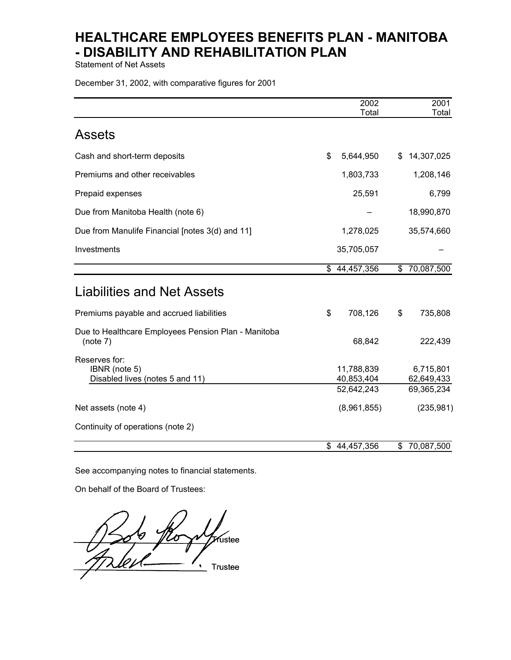Statement of Net Assets

December 31, 2002, with comparative figures for 2001

|                                                                   | 2002                                   | 2001                                  |
|-------------------------------------------------------------------|----------------------------------------|---------------------------------------|
|                                                                   | Total                                  | Total                                 |
| <b>Assets</b>                                                     |                                        |                                       |
| Cash and short-term deposits                                      | \$<br>5,644,950                        | \$<br>14,307,025                      |
| Premiums and other receivables                                    | 1,803,733                              | 1,208,146                             |
| Prepaid expenses                                                  | 25,591                                 | 6,799                                 |
| Due from Manitoba Health (note 6)                                 |                                        | 18,990,870                            |
| Due from Manulife Financial [notes 3(d) and 11]                   | 1,278,025                              | 35,574,660                            |
| Investments                                                       | 35,705,057                             |                                       |
|                                                                   | \$44,457,356                           | \$70,087,500                          |
| <b>Liabilities and Net Assets</b>                                 |                                        |                                       |
| Premiums payable and accrued liabilities                          | \$<br>708,126                          | \$<br>735,808                         |
| Due to Healthcare Employees Pension Plan - Manitoba<br>(note 7)   | 68,842                                 | 222,439                               |
| Reserves for:<br>IBNR (note 5)<br>Disabled lives (notes 5 and 11) | 11,788,839<br>40,853,404<br>52,642,243 | 6,715,801<br>62,649,433<br>69,365,234 |
| Net assets (note 4)                                               | (8,961,855)                            | (235, 981)                            |
| Continuity of operations (note 2)                                 |                                        |                                       |
|                                                                   | \$44,457,356                           | \$<br>70,087,500                      |

See accompanying notes to financial statements.

On behalf of the Board of Trustees:

 $\bigwedge$   $\bigwedge$   $\bigwedge$   $\bigwedge$   $\bigwedge$  $\overline{11}$   $\overline{11}$   $\overline{11}$   $\overline{11}$   $\overline{11}$   $\overline{11}$   $\overline{11}$   $\overline{11}$   $\overline{11}$   $\overline{11}$   $\overline{11}$   $\overline{11}$   $\overline{11}$   $\overline{11}$   $\overline{11}$   $\overline{11}$   $\overline{11}$   $\overline{11}$   $\overline{11}$   $\overline{11}$   $\overline{11}$   $\overline{11}$   $\bullet$ Trustee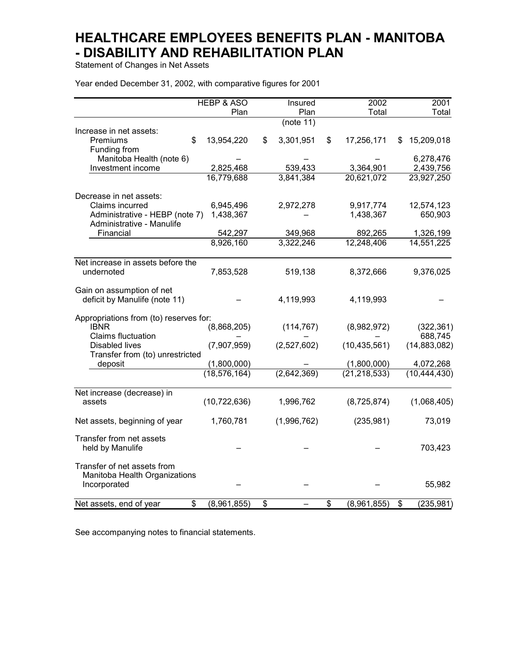Statement of Changes in Net Assets

Year ended December 31, 2002, with comparative figures for 2001

|                                               | <b>HEBP &amp; ASO</b> | Insured         | 2002                    |    | 2001                    |
|-----------------------------------------------|-----------------------|-----------------|-------------------------|----|-------------------------|
|                                               | Plan                  | Plan            | Total                   |    | Total                   |
|                                               |                       | (note 11)       |                         |    |                         |
| Increase in net assets:                       |                       |                 |                         |    |                         |
| Premiums<br>\$                                | 13,954,220            | \$<br>3,301,951 | \$<br>17,256,171        | S  | 15,209,018              |
| Funding from                                  |                       |                 |                         |    |                         |
| Manitoba Health (note 6)<br>Investment income | 2,825,468             | 539,433         |                         |    | 6,278,476               |
|                                               | 16,779,688            | 3,841,384       | 3,364,901<br>20,621,072 |    | 2,439,756<br>23,927,250 |
|                                               |                       |                 |                         |    |                         |
| Decrease in net assets:                       |                       |                 |                         |    |                         |
| Claims incurred                               | 6,945,496             | 2,972,278       | 9,917,774               |    | 12,574,123              |
| Administrative - HEBP (note 7)                | 1,438,367             |                 | 1,438,367               |    | 650,903                 |
| Administrative - Manulife                     |                       |                 |                         |    |                         |
| Financial                                     | 542,297               | 349,968         | 892,265                 |    | 1,326,199               |
|                                               | 8,926,160             | 3,322,246       | 12,248,406              |    | 14,551,225              |
| Net increase in assets before the             |                       |                 |                         |    |                         |
| undernoted                                    | 7,853,528             | 519,138         | 8,372,666               |    | 9,376,025               |
| Gain on assumption of net                     |                       |                 |                         |    |                         |
| deficit by Manulife (note 11)                 |                       | 4,119,993       | 4,119,993               |    |                         |
| Appropriations from (to) reserves for:        |                       |                 |                         |    |                         |
| <b>IBNR</b>                                   | (8,868,205)           | (114, 767)      | (8,982,972)             |    | (322, 361)              |
| <b>Claims fluctuation</b>                     |                       |                 |                         |    | 688,745                 |
| <b>Disabled lives</b>                         | (7,907,959)           | (2,527,602)     | (10, 435, 561)          |    | (14,883,082)            |
| Transfer from (to) unrestricted               |                       |                 |                         |    |                         |
| deposit                                       | (1,800,000)           |                 | (1,800,000)             |    | 4,072,268               |
|                                               | (18, 576, 164)        | (2,642,369)     | (21, 218, 533)          |    | (10, 444, 430)          |
| Net increase (decrease) in                    |                       |                 |                         |    |                         |
| assets                                        | (10, 722, 636)        | 1,996,762       | (8,725,874)             |    | (1,068,405)             |
| Net assets, beginning of year                 | 1,760,781             | (1,996,762)     | (235, 981)              |    | 73,019                  |
| Transfer from net assets                      |                       |                 |                         |    |                         |
| held by Manulife                              |                       |                 |                         |    | 703,423                 |
| Transfer of net assets from                   |                       |                 |                         |    |                         |
| Manitoba Health Organizations                 |                       |                 |                         |    |                         |
| Incorporated                                  |                       |                 |                         |    | 55,982                  |
| \$<br>Net assets, end of year                 | (8,961,855)           | \$              | \$<br>(8,961,855)       | \$ | (235, 981)              |

See accompanying notes to financial statements.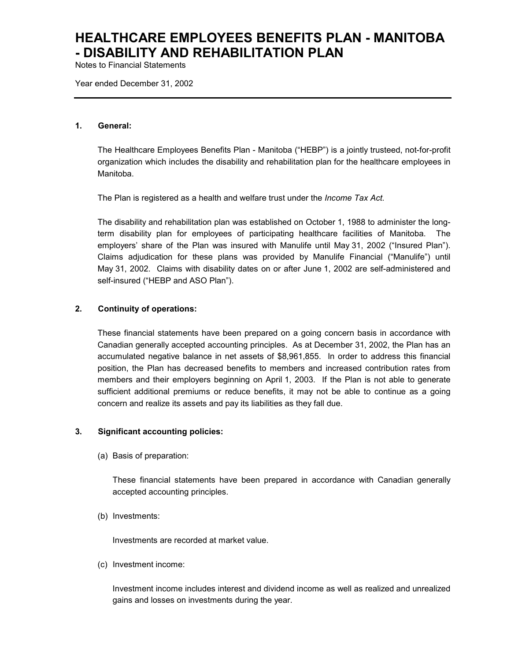Notes to Financial Statements

Year ended December 31, 2002

#### **1. General:**

The Healthcare Employees Benefits Plan - Manitoba ("HEBP") is a jointly trusteed, not-for-profit organization which includes the disability and rehabilitation plan for the healthcare employees in Manitoba.

The Plan is registered as a health and welfare trust under the *Income Tax Act.*

The disability and rehabilitation plan was established on October 1, 1988 to administer the longterm disability plan for employees of participating healthcare facilities of Manitoba. The employers' share of the Plan was insured with Manulife until May 31, 2002 ("Insured Plan"). Claims adjudication for these plans was provided by Manulife Financial ("Manulife") until May 31, 2002. Claims with disability dates on or after June 1, 2002 are self-administered and self-insured ("HEBP and ASO Plan").

#### **2. Continuity of operations:**

These financial statements have been prepared on a going concern basis in accordance with Canadian generally accepted accounting principles. As at December 31, 2002, the Plan has an accumulated negative balance in net assets of \$8,961,855. In order to address this financial position, the Plan has decreased benefits to members and increased contribution rates from members and their employers beginning on April 1, 2003. If the Plan is not able to generate sufficient additional premiums or reduce benefits, it may not be able to continue as a going concern and realize its assets and pay its liabilities as they fall due.

#### **3. Significant accounting policies:**

(a) Basis of preparation:

These financial statements have been prepared in accordance with Canadian generally accepted accounting principles.

(b) Investments:

Investments are recorded at market value.

(c) Investment income:

Investment income includes interest and dividend income as well as realized and unrealized gains and losses on investments during the year.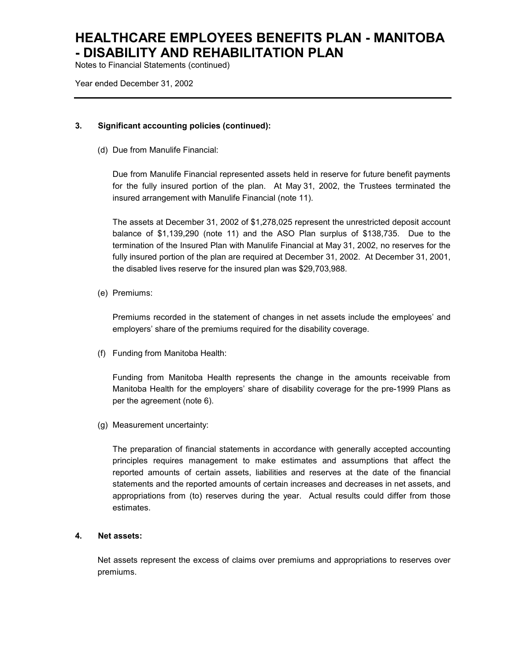Notes to Financial Statements (continued)

Year ended December 31, 2002

#### **3. Significant accounting policies (continued):**

(d) Due from Manulife Financial:

Due from Manulife Financial represented assets held in reserve for future benefit payments for the fully insured portion of the plan. At May 31, 2002, the Trustees terminated the insured arrangement with Manulife Financial (note 11).

The assets at December 31, 2002 of \$1,278,025 represent the unrestricted deposit account balance of \$1,139,290 (note 11) and the ASO Plan surplus of \$138,735. Due to the termination of the Insured Plan with Manulife Financial at May 31, 2002, no reserves for the fully insured portion of the plan are required at December 31, 2002. At December 31, 2001, the disabled lives reserve for the insured plan was \$29,703,988.

(e) Premiums:

Premiums recorded in the statement of changes in net assets include the employees' and employers' share of the premiums required for the disability coverage.

(f) Funding from Manitoba Health:

Funding from Manitoba Health represents the change in the amounts receivable from Manitoba Health for the employers' share of disability coverage for the pre-1999 Plans as per the agreement (note 6).

(g) Measurement uncertainty:

The preparation of financial statements in accordance with generally accepted accounting principles requires management to make estimates and assumptions that affect the reported amounts of certain assets, liabilities and reserves at the date of the financial statements and the reported amounts of certain increases and decreases in net assets, and appropriations from (to) reserves during the year. Actual results could differ from those estimates.

#### **4. Net assets:**

Net assets represent the excess of claims over premiums and appropriations to reserves over premiums.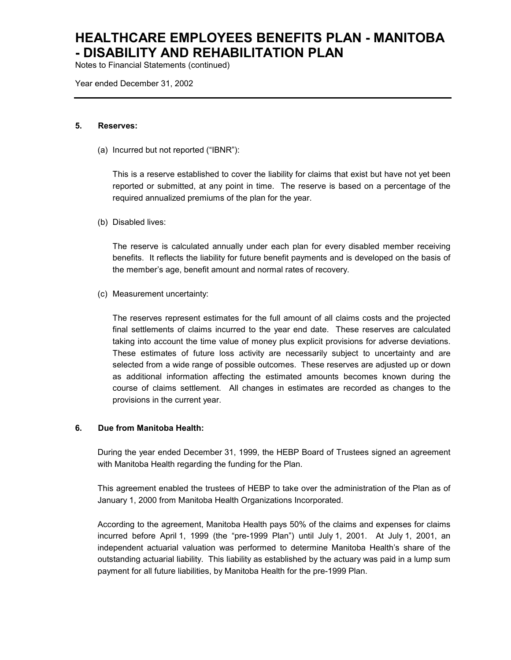Notes to Financial Statements (continued)

Year ended December 31, 2002

#### **5. Reserves:**

(a) Incurred but not reported ("IBNR"):

This is a reserve established to cover the liability for claims that exist but have not yet been reported or submitted, at any point in time. The reserve is based on a percentage of the required annualized premiums of the plan for the year.

(b) Disabled lives:

The reserve is calculated annually under each plan for every disabled member receiving benefits. It reflects the liability for future benefit payments and is developed on the basis of the member's age, benefit amount and normal rates of recovery.

(c) Measurement uncertainty:

The reserves represent estimates for the full amount of all claims costs and the projected final settlements of claims incurred to the year end date. These reserves are calculated taking into account the time value of money plus explicit provisions for adverse deviations. These estimates of future loss activity are necessarily subject to uncertainty and are selected from a wide range of possible outcomes. These reserves are adjusted up or down as additional information affecting the estimated amounts becomes known during the course of claims settlement. All changes in estimates are recorded as changes to the provisions in the current year.

#### **6. Due from Manitoba Health:**

During the year ended December 31, 1999, the HEBP Board of Trustees signed an agreement with Manitoba Health regarding the funding for the Plan.

This agreement enabled the trustees of HEBP to take over the administration of the Plan as of January 1, 2000 from Manitoba Health Organizations Incorporated.

According to the agreement, Manitoba Health pays 50% of the claims and expenses for claims incurred before April 1, 1999 (the "pre-1999 Plan") until July 1, 2001. At July 1, 2001, an independent actuarial valuation was performed to determine Manitoba Health's share of the outstanding actuarial liability. This liability as established by the actuary was paid in a lump sum payment for all future liabilities, by Manitoba Health for the pre-1999 Plan.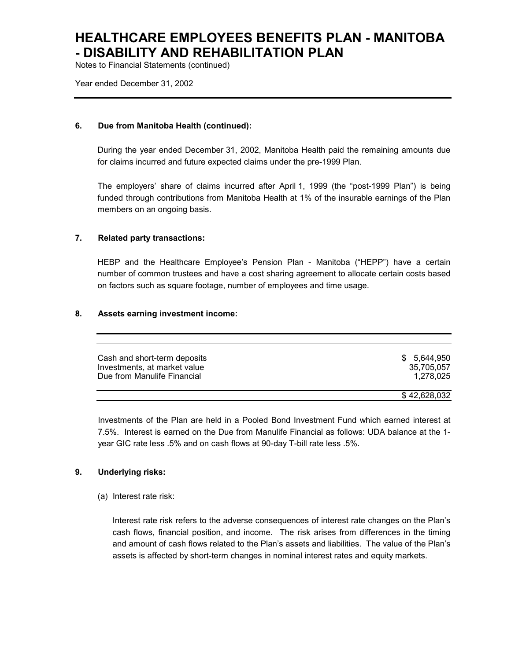Notes to Financial Statements (continued)

Year ended December 31, 2002

#### **6. Due from Manitoba Health (continued):**

During the year ended December 31, 2002, Manitoba Health paid the remaining amounts due for claims incurred and future expected claims under the pre-1999 Plan.

The employers' share of claims incurred after April 1, 1999 (the "post-1999 Plan") is being funded through contributions from Manitoba Health at 1% of the insurable earnings of the Plan members on an ongoing basis.

#### **7. Related party transactions:**

HEBP and the Healthcare Employee's Pension Plan - Manitoba ("HEPP") have a certain number of common trustees and have a cost sharing agreement to allocate certain costs based on factors such as square footage, number of employees and time usage.

#### **8. Assets earning investment income:**

| Cash and short-term deposits | \$ 5.644.950 |
|------------------------------|--------------|
| Investments, at market value | 35.705.057   |
| Due from Manulife Financial  | 1.278.025    |
|                              | \$42.628.032 |

Investments of the Plan are held in a Pooled Bond Investment Fund which earned interest at 7.5%. Interest is earned on the Due from Manulife Financial as follows: UDA balance at the 1 year GIC rate less .5% and on cash flows at 90-day T-bill rate less .5%.

#### **9. Underlying risks:**

(a) Interest rate risk:

Interest rate risk refers to the adverse consequences of interest rate changes on the Plan's cash flows, financial position, and income. The risk arises from differences in the timing and amount of cash flows related to the Plan's assets and liabilities. The value of the Plan's assets is affected by short-term changes in nominal interest rates and equity markets.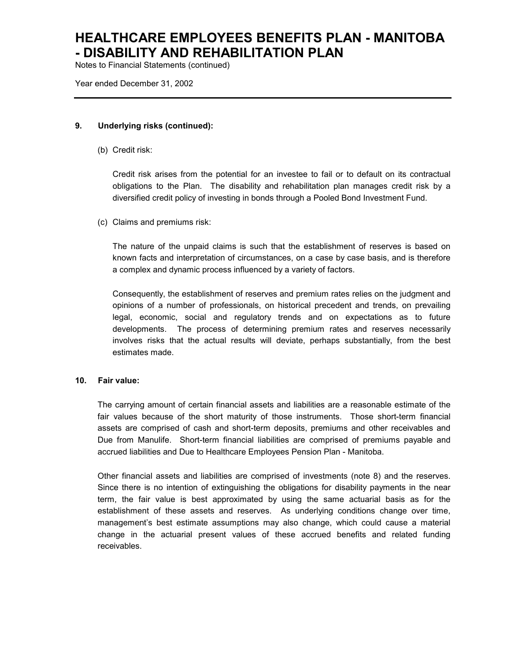Notes to Financial Statements (continued)

Year ended December 31, 2002

#### **9. Underlying risks (continued):**

(b) Credit risk:

Credit risk arises from the potential for an investee to fail or to default on its contractual obligations to the Plan. The disability and rehabilitation plan manages credit risk by a diversified credit policy of investing in bonds through a Pooled Bond Investment Fund.

(c) Claims and premiums risk:

The nature of the unpaid claims is such that the establishment of reserves is based on known facts and interpretation of circumstances, on a case by case basis, and is therefore a complex and dynamic process influenced by a variety of factors.

Consequently, the establishment of reserves and premium rates relies on the judgment and opinions of a number of professionals, on historical precedent and trends, on prevailing legal, economic, social and regulatory trends and on expectations as to future developments. The process of determining premium rates and reserves necessarily involves risks that the actual results will deviate, perhaps substantially, from the best estimates made.

#### **10. Fair value:**

The carrying amount of certain financial assets and liabilities are a reasonable estimate of the fair values because of the short maturity of those instruments. Those short-term financial assets are comprised of cash and short-term deposits, premiums and other receivables and Due from Manulife. Short-term financial liabilities are comprised of premiums payable and accrued liabilities and Due to Healthcare Employees Pension Plan - Manitoba.

Other financial assets and liabilities are comprised of investments (note 8) and the reserves. Since there is no intention of extinguishing the obligations for disability payments in the near term, the fair value is best approximated by using the same actuarial basis as for the establishment of these assets and reserves. As underlying conditions change over time, management's best estimate assumptions may also change, which could cause a material change in the actuarial present values of these accrued benefits and related funding receivables.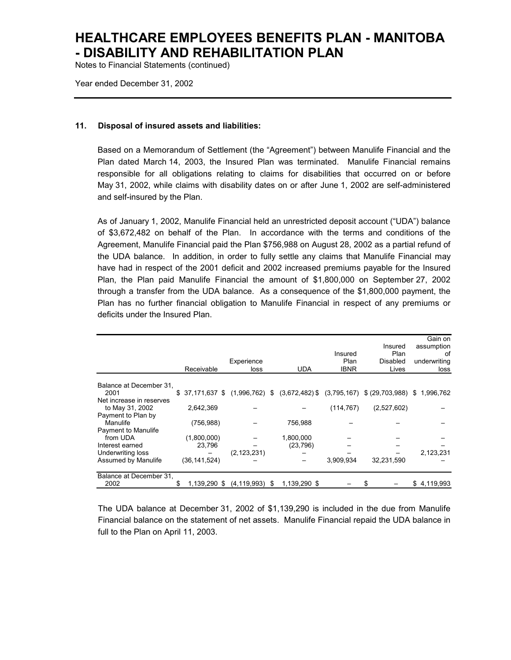Notes to Financial Statements (continued)

Year ended December 31, 2002

#### **11. Disposal of insured assets and liabilities:**

Based on a Memorandum of Settlement (the "Agreement") between Manulife Financial and the Plan dated March 14, 2003, the Insured Plan was terminated. Manulife Financial remains responsible for all obligations relating to claims for disabilities that occurred on or before May 31, 2002, while claims with disability dates on or after June 1, 2002 are self-administered and self-insured by the Plan.

As of January 1, 2002, Manulife Financial held an unrestricted deposit account ("UDA") balance of \$3,672,482 on behalf of the Plan. In accordance with the terms and conditions of the Agreement, Manulife Financial paid the Plan \$756,988 on August 28, 2002 as a partial refund of the UDA balance. In addition, in order to fully settle any claims that Manulife Financial may have had in respect of the 2001 deficit and 2002 increased premiums payable for the Insured Plan, the Plan paid Manulife Financial the amount of \$1,800,000 on September 27, 2002 through a transfer from the UDA balance. As a consequence of the \$1,800,000 payment, the Plan has no further financial obligation to Manulife Financial in respect of any premiums or deficits under the Insured Plan.

|                            |                   |                  |                    |             |                     | Gain on      |
|----------------------------|-------------------|------------------|--------------------|-------------|---------------------|--------------|
|                            |                   |                  |                    |             | Insured             | assumption   |
|                            |                   |                  |                    | Insured     | Plan                | of           |
|                            |                   | Experience       |                    | Plan        | Disabled            | underwriting |
|                            | Receivable        | loss             | <b>UDA</b>         | <b>IBNR</b> | Lives               | loss         |
| Balance at December 31,    |                   |                  |                    |             |                     |              |
| 2001                       | \$37,171,637 \$   | $(1,996,762)$ \$ | $(3,672,482)$ \$   | (3,795,167) | $$ (29,703,988)$ \$ | 1,996,762    |
| Net increase in reserves   |                   |                  |                    |             |                     |              |
| to May 31, 2002            | 2,642,369         |                  |                    | (114, 767)  | (2,527,602)         |              |
| Payment to Plan by         |                   |                  |                    |             |                     |              |
| Manulife                   | (756, 988)        |                  | 756,988            |             |                     |              |
| <b>Payment to Manulife</b> |                   |                  |                    |             |                     |              |
| from UDA                   | (1,800,000)       |                  | 1,800,000          |             |                     |              |
| Interest earned            | 23,796            |                  | (23, 796)          |             |                     |              |
| Underwriting loss          |                   | (2, 123, 231)    |                    |             |                     | 2,123,231    |
| Assumed by Manulife        | (36, 141, 524)    |                  |                    | 3,909,934   | 32,231,590          |              |
| Balance at December 31,    |                   |                  |                    |             |                     |              |
| 2002                       | S<br>1.139.290 \$ | (4, 119, 993)    | 1.139.290 \$<br>\$ |             |                     | \$4,119,993  |

The UDA balance at December 31, 2002 of \$1,139,290 is included in the due from Manulife Financial balance on the statement of net assets. Manulife Financial repaid the UDA balance in full to the Plan on April 11, 2003.